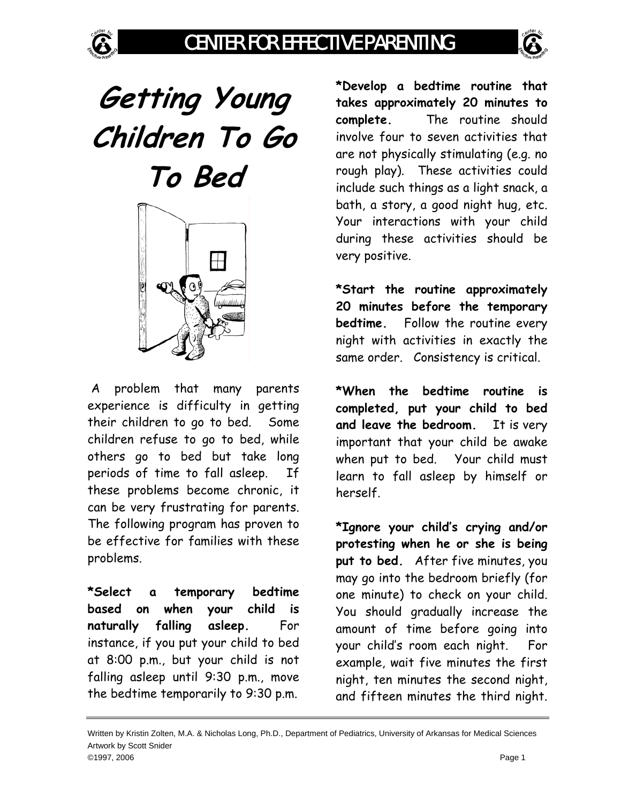

## **Getting Young Children To Go To Bed**



 A problem that many parents experience is difficulty in getting their children to go to bed. Some children refuse to go to bed, while others go to bed but take long periods of time to fall asleep. If these problems become chronic, it can be very frustrating for parents. The following program has proven to be effective for families with these problems.

**\*Select a temporary bedtime based on when your child is naturally falling asleep.** For instance, if you put your child to bed at 8:00 p.m., but your child is not falling asleep until 9:30 p.m., move the bedtime temporarily to 9:30 p.m.

**\*Develop a bedtime routine that takes approximately 20 minutes to complete.** The routine should involve four to seven activities that are not physically stimulating (e.g. no rough play). These activities could include such things as a light snack, a bath, a story, a good night hug, etc. Your interactions with your child during these activities should be very positive.

**\*Start the routine approximately 20 minutes before the temporary bedtime.** Follow the routine every night with activities in exactly the same order. Consistency is critical.

**\*When the bedtime routine is completed, put your child to bed and leave the bedroom.** It is very important that your child be awake when put to bed. Your child must learn to fall asleep by himself or herself.

**\*Ignore your child's crying and/or protesting when he or she is being put to bed.** After five minutes, you may go into the bedroom briefly (for one minute) to check on your child. You should gradually increase the amount of time before going into your child's room each night. For example, wait five minutes the first night, ten minutes the second night, and fifteen minutes the third night.